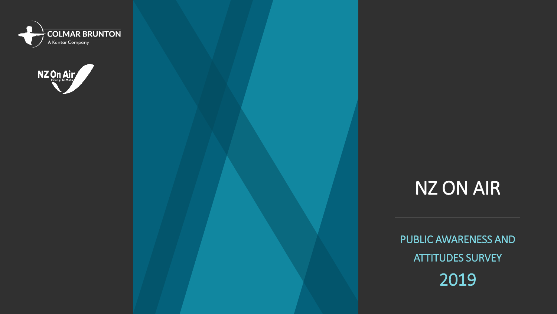



# NZ ON AIR

PUBLIC AWARENESS AND ATTITUDES SURVEY 2019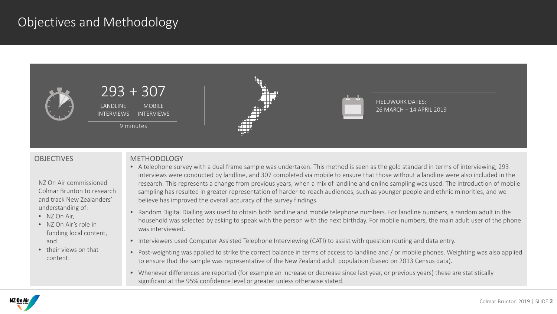### Objectives and Methodology



NZ On Air commissioned Colmar Brunton to research and track New Zealanders' understanding of:

- NZ On Air,
- NZ On Air's role in funding local content, and
- their views on that content.

#### OBJECTIVES METHODOLOGY

- A telephone survey with a dual frame sample was undertaken. This method is seen as the gold standard in terms of interviewing; 293 interviews were conducted by landline, and 307 completed via mobile to ensure that those without a landline were also included in the research. This represents a change from previous years, when a mix of landline and online sampling was used. The introduction of mobile sampling has resulted in greater representation of harder-to-reach audiences, such as younger people and ethnic minorities, and we believe has improved the overall accuracy of the survey findings.
- Random Digital Dialling was used to obtain both landline and mobile telephone numbers. For landline numbers, a random adult in the household was selected by asking to speak with the person with the next birthday. For mobile numbers, the main adult user of the phone was interviewed.
- Interviewers used Computer Assisted Telephone Interviewing (CATI) to assist with question routing and data entry.
- Post-weighting was applied to strike the correct balance in terms of access to landline and / or mobile phones. Weighting was also applied to ensure that the sample was representative of the New Zealand adult population (based on 2013 Census data).
- Whenever differences are reported (for example an increase or decrease since last year, or previous years) these are statistically significant at the 95% confidence level or greater unless otherwise stated.

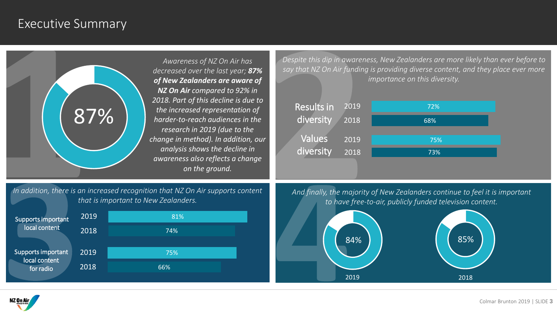### Executive Summary

*Awareness of NZ On Air has decreased over the last year; 87% of New Zealanders are aware of NZ On Air compared to 92% in 2018. Part of this decline is due to the increased representation of harder-to-reach audiences in the research in 2019 (due to the change in method). In addition, our analysis shows the decline in awareness also reflects a change on the ground.*

*Despite this dip in awareness, New Zealanders are more likely than ever before to say that NZ On Air funding is providing diverse content, and they place ever more importance on this diversity.*



*In addition, there is an increased recognition that NZ On Air supports content that is important to New Zealanders.* 



*And finally, the majority of New Zealanders continue to feel it is important to have free-to-air, publicly funded television content.* 



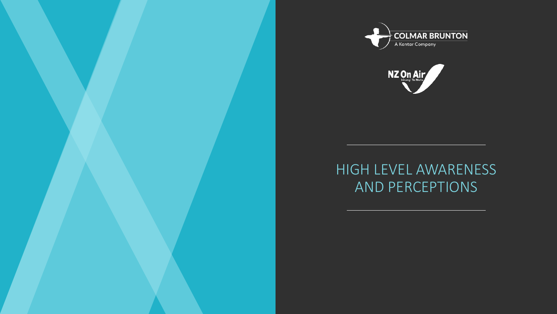



# HIGH LEVEL AWARENESS AND PERCEPTIONS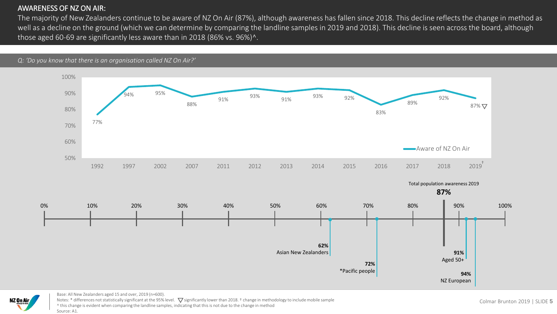#### AWARENESS OF NZ ON AIR:

The majority of New Zealanders continue to be aware of NZ On Air (87%), although awareness has fallen since 2018. This decline reflects the change in method as well as a decline on the ground (which we can determine by comparing the landline samples in 2019 and 2018). This decline is seen across the board, although those aged 60-69 are significantly less aware than in 2018 (86% vs. 96%)^.







Base: All New Zealanders aged 15 and over, 2019 (n=600). Notes: \* differences not statistically significant at the 95% level.  $\nabla$  significantly lower than 2018. † change in methodology to include mobile sample ^ this change is evident when comparing the landline samples, indicating that this is not due to the change in method Source: A1.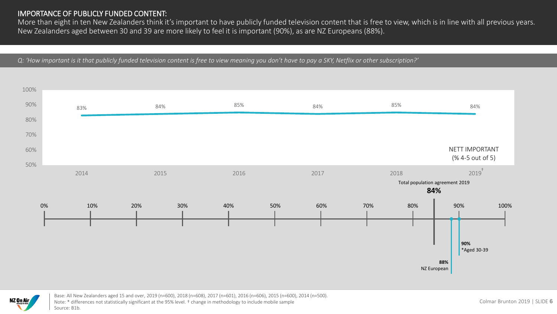#### IMPORTANCE OF PUBLICLY FUNDED CONTENT:

More than eight in ten New Zealanders think it's important to have publicly funded television content that is free to view, which is in line with all previous years. New Zealanders aged between 30 and 39 are more likely to feel it is important (90%), as are NZ Europeans (88%).

*Q: 'How important is it that publicly funded television content is free to view meaning you don't have to pay a SKY, Netflix or other subscription?'*





Base: All New Zealanders aged 15 and over, 2019 (n=600), 2018 (n=608), 2017 (n=601), 2016 (n=606), 2015 (n=600), 2014 (n=500). Note: \* differences not statistically significant at the 95% level. † change in methodology to include mobile sample Source: B1b.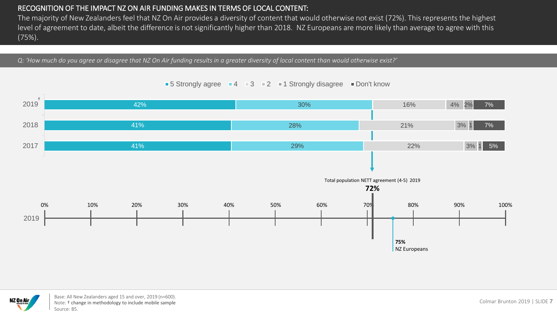### RECOGNITION OF THE IMPACT NZ ON AIR FUNDING MAKES IN TERMS OF LOCAL CONTENT:

The majority of New Zealanders feel that NZ On Air provides a diversity of content that would otherwise not exist (72%). This represents the highest level of agreement to date, albeit the difference is not significantly higher than 2018. NZ Europeans are more likely than average to agree with this (75%).

*Q: 'How much do you agree or disagree that NZ On Air funding results in a greater diversity of local content than would otherwise exist?'*

#### 42% 41% 41% 30% 28% 29% 16% 21% 22% 4% 2% 3% 1 3% 1 7% 7% 5% 2019 †2018 2017 0% 10% 20% 30% 40% 50% 60% 70% 80% 90% 100% Total population NETT agreement (4-5) 2019 **72% 75%** NZ Europeans 2019





Base: All New Zealanders aged 15 and over, 2019 (n=600). Note: † change in methodology to include mobile sample Source: B5.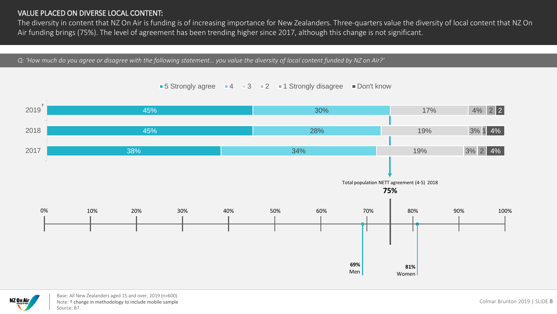#### VALUE PLACED ON DIVERSE LOCAL CONTENT:

The diversity in content that NZ On Air is funding is of increasing importance for New Zealanders. Three-quarters value the diversity of local content that NZ On Air funding brings (75%). The level of agreement has been trending higher since 2017, although this change is not significant.

*Q: 'How much do you agree or disagree with the following statement… you value the diversity of local content funded by NZ on Air?'*

#### 45% 45% 38% 30% 28% 34% 17% 19% 19% 4% 2 2 3% 1 4% 3% 2 4% 2019 2018 2017 **81%** Women 0% 10% 20% 30% 40% 50% 60% 70% 80% 90% 100% Total population NETT agreement (4-5) 2018 **75% 69%** Men †

#### ■ 5 Strongly agree  $\blacksquare$  4  $\blacksquare$  3  $\blacksquare$  2  $\blacksquare$  1 Strongly disagree  $\blacksquare$  Don't know



Base: All New Zealanders aged 15 and over, 2019 (n=600). Note: † change in methodology to include mobile sample Source: B7.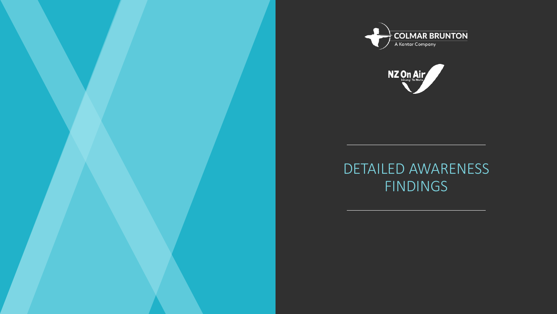



## DETAILED AWARENESS **FINDINGS**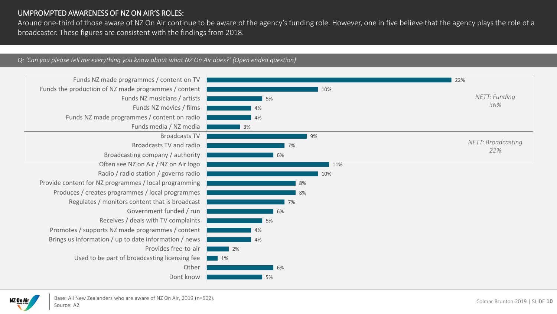#### UMPROMPTED AWARENESS OF NZ ON AIR'S ROLES:

Around one-third of those aware of NZ On Air continue to be aware of the agency's funding role. However, one in five believe that the agency plays the role of a broadcaster. These figures are consistent with the findings from 2018.

#### *Q: 'Can you please tell me everything you know about what NZ On Air does?' (Open ended question)*



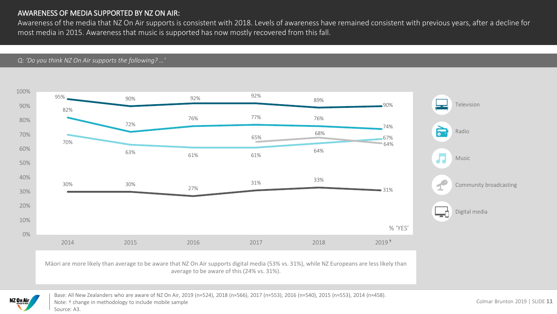### AWARENESS OF MEDIA SUPPORTED BY NZ ON AIR:

Awareness of the media that NZ On Air supports is consistent with 2018. Levels of awareness have remained consistent with previous years, after a decline for most media in 2015. Awareness that music is supported has now mostly recovered from this fall.

*Q: 'Do you think NZ On Air supports the following? …'*





Base: All New Zealanders who are aware of NZ On Air, 2019 (n=524), 2018 (n=566), 2017 (n=553), 2016 (n=540), 2015 (n=553), 2014 (n=458). Note: † change in methodology to include mobile sample Source: A3.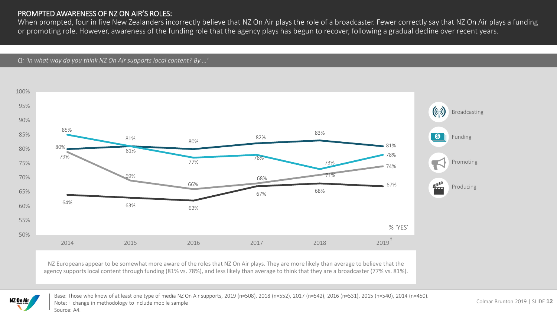#### PROMPTED AWARENESS OF NZ ON AIR'S ROLES:

When prompted, four in five New Zealanders incorrectly believe that NZ On Air plays the role of a broadcaster. Fewer correctly say that NZ On Air plays a funding or promoting role. However, awareness of the funding role that the agency plays has begun to recover, following a gradual decline over recent years.

*Q: 'In what way do you think NZ On Air supports local content? By …'*



NZ Europeans appear to be somewhat more aware of the roles that NZ On Air plays. They are more likely than average to believe that the agency supports local content through funding (81% vs. 78%), and less likely than average to think that they are a broadcaster (77% vs. 81%).



Base: Those who know of at least one type of media NZ On Air supports, 2019 (n=508), 2018 (n=552), 2017 (n=542), 2016 (n=531), 2015 (n=540), 2014 (n=450). Note: † change in methodology to include mobile sample Source: A4.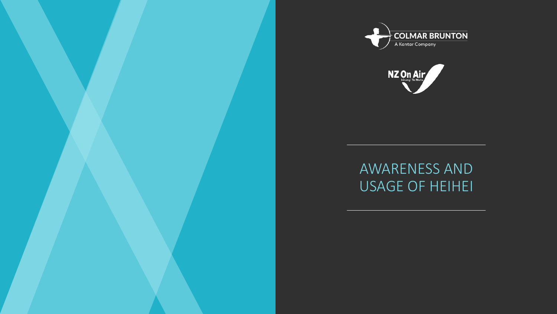



## AWARENESS AND USAGE OF HEIHEI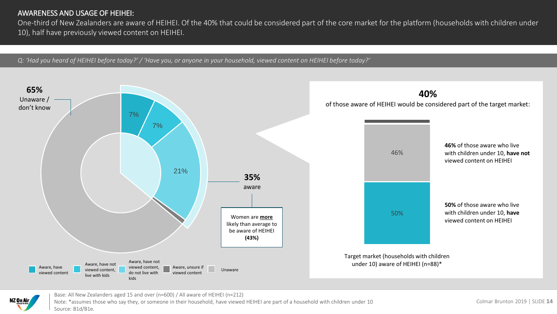#### AWARENESS AND USAGE OF HEIHEI:

One-third of New Zealanders are aware of HEIHEI. Of the 40% that could be considered part of the core market for the platform (households with children under 10), half have previously viewed content on HEIHEI.

*Q: 'Had you heard of HEIHEI before today?' / 'Have you, or anyone in your household, viewed content on HEIHEI before today?'*





Base: All New Zealanders aged 15 and over (n=600) / All aware of HEIHEI (n=212) Note: \*assumes those who say they, or someone in their household, have viewed HEIHEI are part of a household with children under 10 Source: B1d/B1e.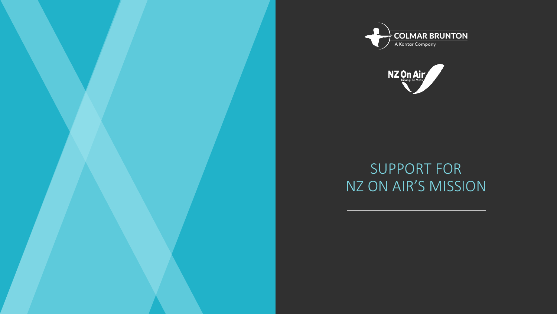



# SUPPORT FOR NZ ON AIR'S MISSION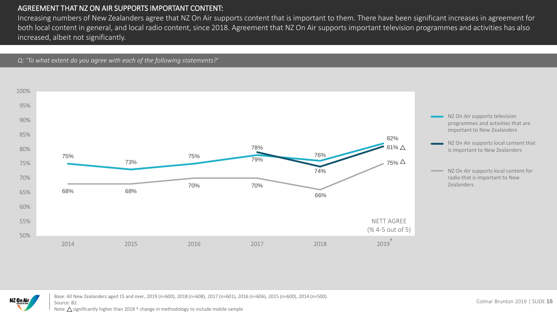#### AGREEMENT THAT NZ ON AIR SUPPORTS IMPORTANT CONTENT:

Increasing numbers of New Zealanders agree that NZ On Air supports content that is important to them. There have been significant increases in agreement for both local content in general, and local radio content, since 2018. Agreement that NZ On Air supports important television programmes and activities has also increased, albeit not significantly.

*Q: 'To what extent do you agree with each of the following statements?'*





Base: All New Zealanders aged 15 and over, 2019 (n=600), 2018 (n=608), 2017 (n=601), 2016 (n=606), 2015 (n=600), 2014 (n=500). Source: B2.

Note:  $\triangle$  significantly higher than 2018  $\dagger$  change in methodology to include mobile sample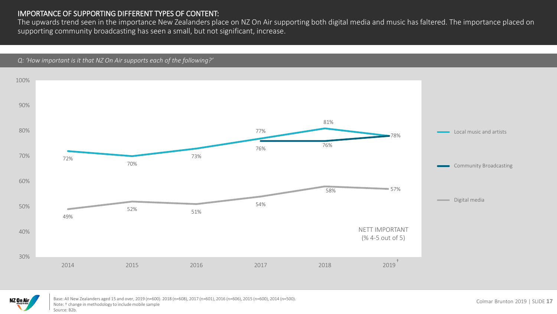#### IMPORTANCE OF SUPPORTING DIFFERENT TYPES OF CONTENT:

The upwards trend seen in the importance New Zealanders place on NZ On Air supporting both digital media and music has faltered. The importance placed on supporting community broadcasting has seen a small, but not significant, increase.

*Q: 'How important is it that NZ On Air supports each of the following?'*





Base: All New Zealanders aged 15 and over, 2019 (n=600). 2018 (n=608), 2017 (n=601), 2016 (n=606), 2015 (n=600), 2014 (n=500). Note: † change in methodology to include mobile sample Source: B2b.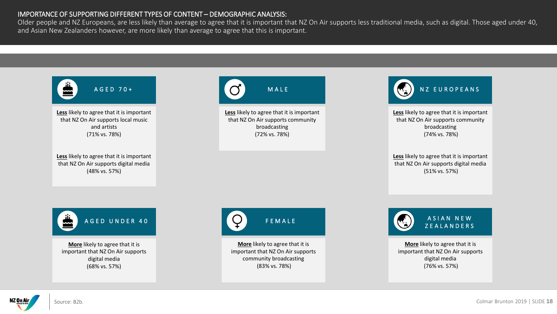#### IMPORTANCE OF SUPPORTING DIFFERENT TYPES OF CONTENT – DEMOGRAPHIC ANALYSIS:

Older people and NZ Europeans, are less likely than average to agree that it is important that NZ On Air supports less traditional media, such as digital. Those aged under 40, and Asian New Zealanders however, are more likely than average to agree that this is important.

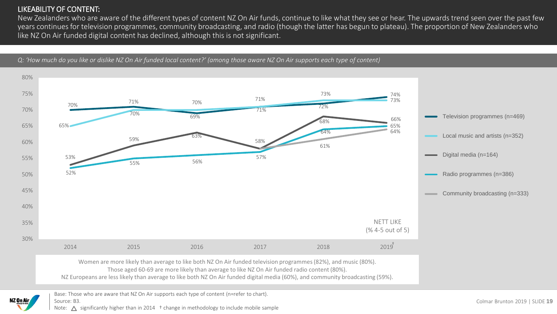#### LIKEABILITY OF CONTENT:

New Zealanders who are aware of the different types of content NZ On Air funds, continue to like what they see or hear. The upwards trend seen over the past few years continues for television programmes, community broadcasting, and radio (though the latter has begun to plateau). The proportion of New Zealanders who like NZ On Air funded digital content has declined, although this is not significant.



*Q: 'How much do you like or dislike NZ On Air funded local content?' (among those aware NZ On Air supports each type of content)*

Colmar Brunton 2019 | SLIDE **19**

Note:  $\triangle$  significantly higher than in 2014  $\pm$  change in methodology to include mobile sample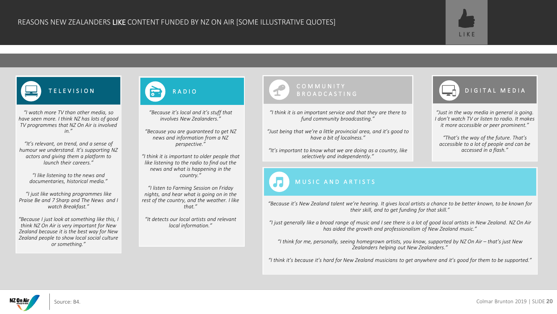



*"I watch more TV than other media, so have seen more. I think NZ has lots of good TV programmes that NZ On Air is involved in."*

*"It's relevant, on trend, and a sense of humour we understand. It's supporting NZ actors and giving them a platform to launch their careers."*

> *"I like listening to the news and documentaries, historical media."*

*"I just like watching programmes like Praise Be and 7 Sharp and The News and I watch Breakfast."*

*"Because I just look at something like this, I think NZ On Air is very important for New Zealand because it is the best way for New Zealand people to show local social culture or something."*



*"Because it's local and it's stuff that involves New Zealanders."*

*"Because you are guaranteed to get NZ news and information from a NZ perspective."*

*"I think it is important to older people that like listening to the radio to find out the news and what is happening in the country."*

*"I listen to Farming Session on Friday nights, and hear what is going on in the rest of the country, and the weather. I like that."*

*"It detects our local artists and relevant local information."*

# COMMUNITY

*"I think it is an important service and that they are there to fund community broadcasting."*

*"Just being that we're a little provincial area, and it's good to have a bit of localness."*

*"It's important to know what we are doing as a country, like selectively and independently."*

### MUSIC AND ARTISTS

BROADCASTING **DIGITAL MEDIA** 

*"Just in the way media in general is going. I don't watch TV or listen to radio. It makes it more accessible or peer prominent."*

*"That's the way of the future. That's accessible to a lot of people and can be accessed in a flash."*

*"Because it's New Zealand talent we're hearing. It gives local artists a chance to be better known, to be known for their skill, and to get funding for that skill."*

*"I just generally like a broad range of music and I see there is a lot of good local artists in New Zealand. NZ On Air has aided the growth and professionalism of New Zealand music."*

*"I think for me, personally, seeing homegrown artists, you know, supported by NZ On Air – that's just New Zealanders helping out New Zealanders."*

*"I think it's because it's hard for New Zealand musicians to get anywhere and it's good for them to be supported."*

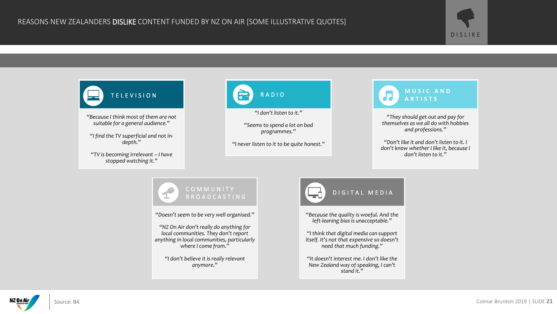

Source: B4.

NZ On Air

DISLIKE